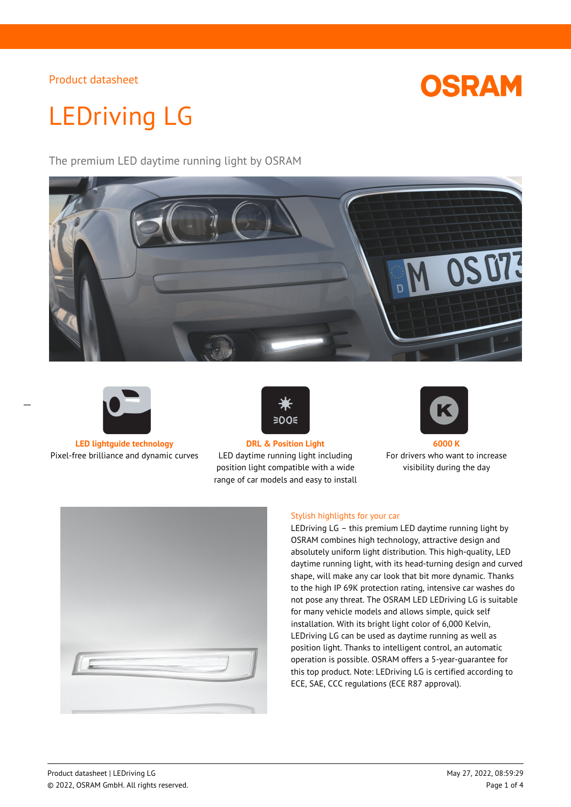

# LEDriving LG

The premium LED daytime running light by OSRAM





**LED lightguide technology DRL & Position Light 6000 K** Pixel-free brilliance and dynamic curves LED daytime running light including



position light compatible with a wide range of car models and easy to install



For drivers who want to increase visibility during the day



## Stylish highlights for your car

LEDriving LG – this premium LED daytime running light by OSRAM combines high technology, attractive design and absolutely uniform light distribution. This high-quality, LED daytime running light, with its head-turning design and curved shape, will make any car look that bit more dynamic. Thanks to the high IP 69K protection rating, intensive car washes do not pose any threat. The OSRAM LED LEDriving LG is suitable for many vehicle models and allows simple, quick self installation. With its bright light color of 6,000 Kelvin, LEDriving LG can be used as daytime running as well as position light. Thanks to intelligent control, an automatic operation is possible. OSRAM offers a 5-year-guarantee for this top product. Note: LEDriving LG is certified according to ECE, SAE, CCC regulations (ECE R87 approval).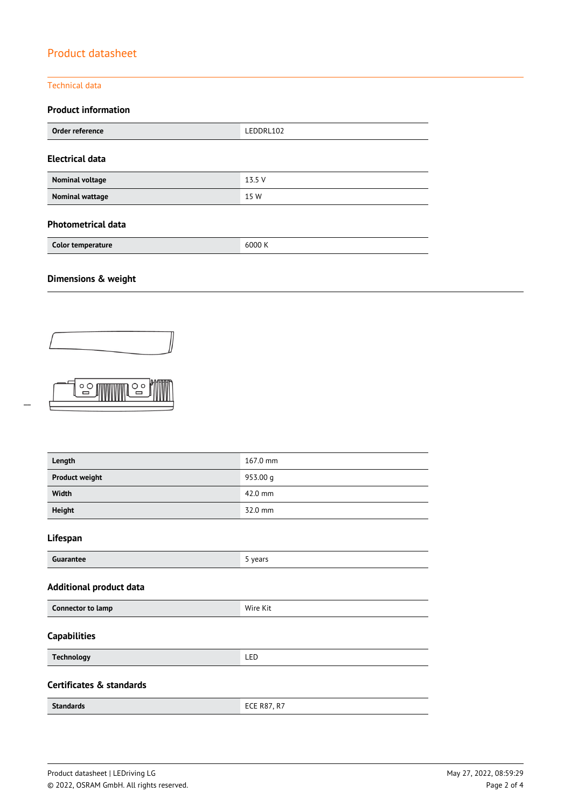## Technical data

## **Product information**

| Order reference        | LEDDRL102 |
|------------------------|-----------|
| <b>Electrical data</b> |           |
| Nominal voltage        | 13.5V     |
| <b>Nominal wattage</b> | 15 W      |

## **Photometrical data**

| Color temperature | 6000 K |
|-------------------|--------|
|                   |        |

# **Dimensions & weight**

 $\frac{1}{2}$ 



 $\overline{C}$ 

| Length                         | 167.0 mm           |
|--------------------------------|--------------------|
| <b>Product weight</b>          | 953.00 g           |
| Width                          | 42.0 mm            |
| <b>Height</b>                  | 32.0 mm            |
| Lifespan                       |                    |
| Guarantee                      | 5 years            |
| <b>Additional product data</b> |                    |
| Connector to lamp              | Wire Kit           |
| <b>Capabilities</b>            |                    |
| <b>Technology</b>              | LED                |
| Certificates & standards       |                    |
| <b>Standards</b>               | <b>ECE R87, R7</b> |
|                                |                    |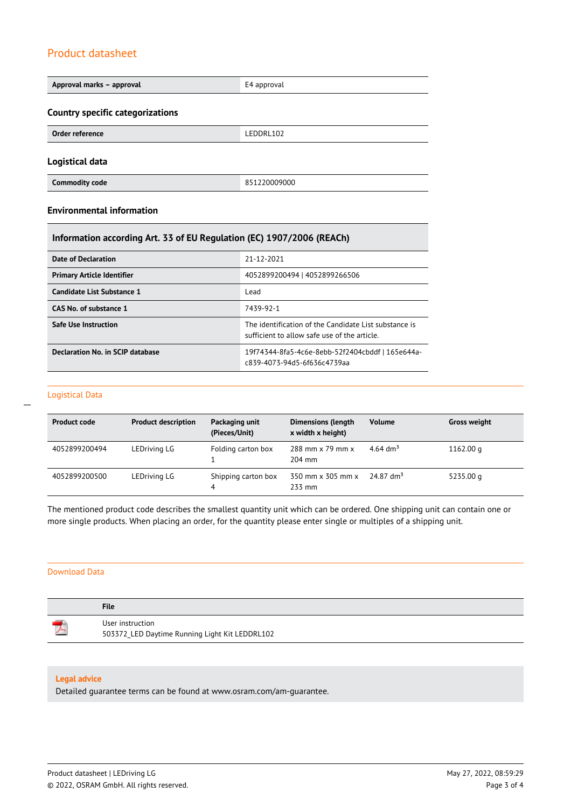| Approval marks - approval                                             | E4 approval  |  |
|-----------------------------------------------------------------------|--------------|--|
| Country specific categorizations                                      |              |  |
| Order reference                                                       | LEDDRL102    |  |
| Logistical data                                                       |              |  |
| <b>Commodity code</b>                                                 | 851220009000 |  |
| <b>Environmental information</b>                                      |              |  |
| Information according Art. 33 of EU Regulation (EC) 1907/2006 (REACh) |              |  |

| Date of Declaration               | 21-12-2021                                                                                            |
|-----------------------------------|-------------------------------------------------------------------------------------------------------|
| <b>Primary Article Identifier</b> | 4052899200494   4052899266506                                                                         |
| Candidate List Substance 1        | Lead                                                                                                  |
| CAS No. of substance 1            | 7439-92-1                                                                                             |
| Safe Use Instruction              | The identification of the Candidate List substance is<br>sufficient to allow safe use of the article. |
| Declaration No. in SCIP database  | 19f74344-8fa5-4c6e-8ebb-52f2404cbddf   165e644a-<br>c839-4073-94d5-6f636c4739aa                       |

## Logistical Data

 $\overline{a}$ 

| <b>Product code</b> | <b>Product description</b> | Packaging unit<br>(Pieces/Unit) | <b>Dimensions (length</b><br>x width x height) | <b>Volume</b>           | <b>Gross weight</b> |
|---------------------|----------------------------|---------------------------------|------------------------------------------------|-------------------------|---------------------|
| 4052899200494       | LEDriving LG               | Folding carton box              | 288 mm x 79 mm x<br>$204$ mm                   | 4.64 $\rm{dm^{3}}$      | 1162.00 g           |
| 4052899200500       | LEDriving LG               | Shipping carton box             | 350 mm x 305 mm x<br>233 mm                    | $24.87$ dm <sup>3</sup> | 5235.00 g           |

The mentioned product code describes the smallest quantity unit which can be ordered. One shipping unit can contain one or more single products. When placing an order, for the quantity please enter single or multiples of a shipping unit.

#### Download Data

| <b>File</b>                                                        |
|--------------------------------------------------------------------|
| User instruction<br>503372_LED Daytime Running Light Kit LEDDRL102 |

## **Legal advice**

Detailed guarantee terms can be found at www.osram.com/am-guarantee.